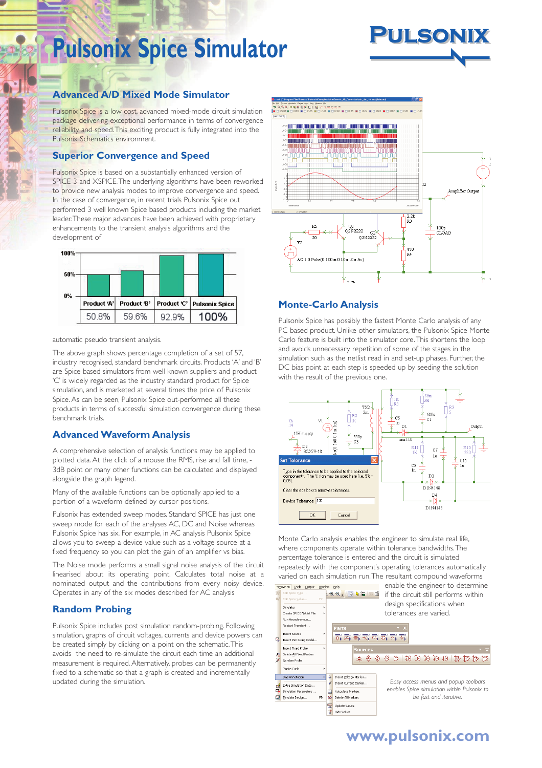# **Pulsonix Spice Simulator**



### **Advanced A/D Mixed Mode Simulator**

Pulsonix Spice is a low cost, advanced mixed-mode circuit simulation package delivering exceptional performance in terms of convergence reliability and speed.This exciting product is fully integrated into the Pulsonix Schematics environment.

#### **Superior Convergence and Speed**

Pulsonix Spice is based on a substantially enhanced version of SPICE 3 and XSPICE.The underlying algorithms have been reworked to provide new analysis modes to improve convergence and speed. In the case of convergence, in recent trials Pulsonix Spice out performed 3 well known Spice based products including the market leader.These major advances have been achieved with proprietary enhancements to the transient analysis algorithms and the development of



automatic pseudo transient analysis.

The above graph shows percentage completion of a set of 57, industry recognised, standard benchmark circuits. Products 'A' and 'B' are Spice based simulators from well known suppliers and product 'C' is widely regarded as the industry standard product for Spice simulation, and is marketed at several times the price of Pulsonix Spice. As can be seen, Pulsonix Spice out-performed all these products in terms of successful simulation convergence during these benchmark trials.

#### **Advanced Waveform Analysis**

A comprehensive selection of analysis functions may be applied to plotted data. At the click of a mouse the RMS, rise and fall time, 3dB point or many other functions can be calculated and displayed alongside the graph legend.

Many of the available functions can be optionally applied to a portion of a waveform defined by cursor positions.

Pulsonix has extended sweep modes. Standard SPICE has just one sweep mode for each of the analyses AC, DC and Noise whereas Pulsonix Spice has six. For example, in AC analysis Pulsonix Spice allows you to sweep a device value such as a voltage source at a fixed frequency so you can plot the gain of an amplifier vs bias.

The Noise mode performs a small signal noise analysis of the circuit linearised about its operating point. Calculates total noise at a nominated output and the contributions from every noisy device. Operates in any of the six modes described for AC analysis

#### **Random Probing**

Pulsonix Spice includes post simulation random-probing. Following simulation, graphs of circuit voltages, currents and device powers can be created simply by clicking on a point on the schematic.This avoids the need to re-simulate the circuit each time an additional measurement is required. Alternatively, probes can be permanently fixed to a schematic so that a graph is created and incrementally updated during the simulation.



#### **Monte-Carlo Analysis**

Pulsonix Spice has possibly the fastest Monte Carlo analysis of any PC based product. Unlike other simulators, the Pulsonix Spice Monte Carlo feature is built into the simulator core.This shortens the loop and avoids unnecessary repetition of some of the stages in the simulation such as the netlist read in and set-up phases. Further, the DC bias point at each step is speeded up by seeding the solution with the result of the previous one.



Monte Carlo analysis enables the engineer to simulate real life, where components operate within tolerance bandwidths.The percentage tolerance is entered and the circuit is simulated repeatedly with the component's operating tolerances automatically varied on each simulation run.The resultant compound waveforms



## **www.pulsonix.com**